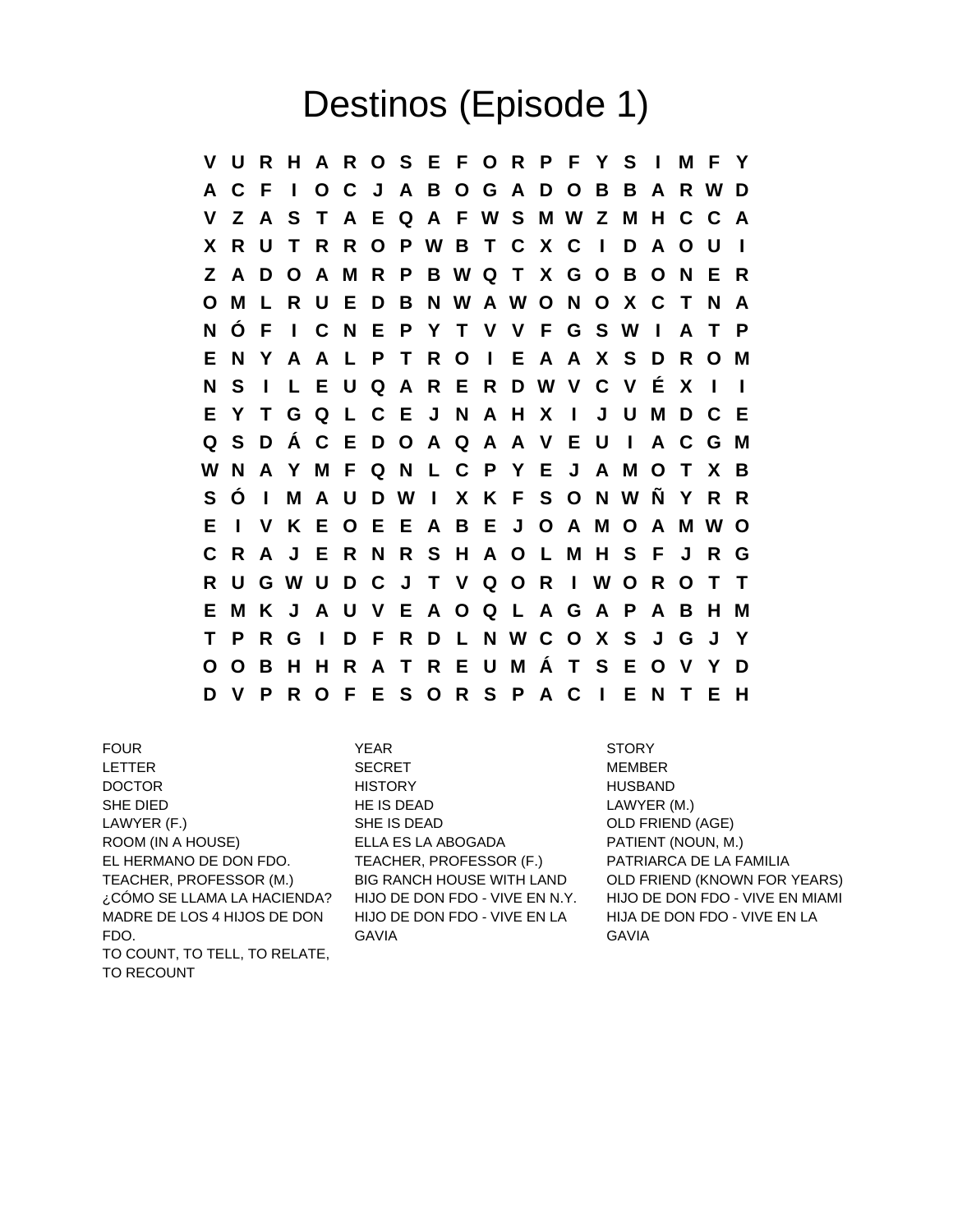## Destinos (Episode 1)

**V U R H A R O S E F O R P F Y S I M F Y A C F I O C J A B O G A D O B B A R W D V Z A S T A E Q A F W S M W Z M H C C A X R U T R R O P W B T C X C I D A O U I Z A D O A M R P B W Q T X G O B O N E R O M L R U E D B N W A W O N O X C T N A N Ó F I C N E P Y T V V F G S W I A T P E N Y A A L P T R O I E A A X S D R O M N S I L E U Q A R E R D W V C V É X I I E Y T G Q L C E J N A H X I J U M D C E Q S D Á C E D O A Q A A V E U I A C G M W N A Y M F Q N L C P Y E J A M O T X B S Ó I M A U D W I X K F S O N W Ñ Y R R E I V K E O E E A B E J O A M O A M W O C R A J E R N R S H A O L M H S F J R G R U G W U D C J T V Q O R I W O R O T T E M K J A U V E A O Q L A G A P A B H M T P R G I D F R D L N W C O X S J G J Y O O B H H R A T R E U M Á T S E O V Y D D V P R O F E S O R S P A C I E N T E H**

LETTER SECRET MEMBER DOCTOR HISTORY HUSBAND SHE DIED **HE IS DEAD HE IS DEAD LAWYER (M.)** LAWYER (F.) SHE IS DEAD OLD FRIEND (AGE) ROOM (IN A HOUSE) ELLA ES LA ABOGADA PATIENT (NOUN, M.) EL HERMANO DE DON FDO. TEACHER, PROFESSOR (F.) PATRIARCA DE LA FAMILIA MADRE DE LOS 4 HIJOS DE DON FDO. TO COUNT, TO TELL, TO RELATE, TO RECOUNT

FOUR THE STORY STORY STORY STORY HIJO DE DON FDO - VIVE EN LA GAVIA

TEACHER, PROFESSOR (M.) BIG RANCH HOUSE WITH LAND OLD FRIEND (KNOWN FOR YEARS) ¿CÓMO SE LLAMA LA HACIENDA? HIJO DE DON FDO - VIVE EN N.Y. HIJO DE DON FDO - VIVE EN MIAMI HIJA DE DON FDO - VIVE EN LA GAVIA